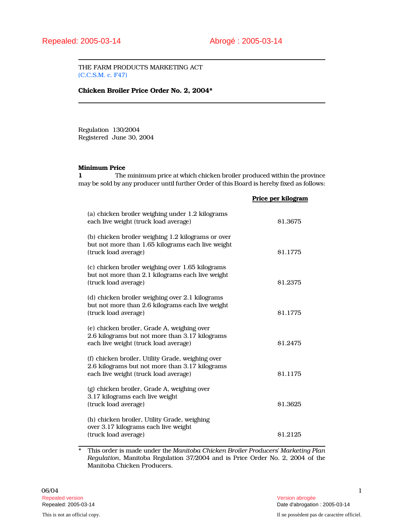THE FARM PRODUCTS MARKETING ACT (C.C.S.M. c. F47)

# Chicken Broiler Price Order No. 2, 2004\*

Regulation 130/2004 Registered June 30, 2004

## Minimum Price

1 The minimum price at which chicken broiler produced within the province may be sold by any producer until further Order of this Board is hereby fixed as follows:

|                                                                                                                                              | Price per kilogram |
|----------------------------------------------------------------------------------------------------------------------------------------------|--------------------|
| (a) chicken broiler weighing under 1.2 kilograms<br>each live weight (truck load average)                                                    | \$1.3675           |
| (b) chicken broiler weighing 1.2 kilograms or over<br>but not more than 1.65 kilograms each live weight<br>(truck load average)              | <b>S1.1775</b>     |
| (c) chicken broiler weighing over 1.65 kilograms<br>but not more than 2.1 kilograms each live weight<br>(truck load average)                 | \$1.2375           |
| (d) chicken broiler weighing over 2.1 kilograms<br>but not more than 2.6 kilograms each live weight<br>(truck load average)                  | \$1.1775           |
| (e) chicken broiler, Grade A, weighing over<br>2.6 kilograms but not more than 3.17 kilograms<br>each live weight (truck load average)       | \$1.2475           |
| (f) chicken broiler, Utility Grade, weighing over<br>2.6 kilograms but not more than 3.17 kilograms<br>each live weight (truck load average) | \$1.1175           |
| (g) chicken broiler, Grade A, weighing over<br>3.17 kilograms each live weight<br>(truck load average)                                       | \$1.3625           |
| (h) chicken broiler, Utility Grade, weighing<br>over 3.17 kilograms each live weight<br>(truck load average)                                 | \$1.2125           |

\* This order is made under the Manitoba Chicken Broiler Producers' Marketing Plan Regulation, Manitoba Regulation 37/2004 and is Price Order No. 2, 2004 of the Manitoba Chicken Producers.